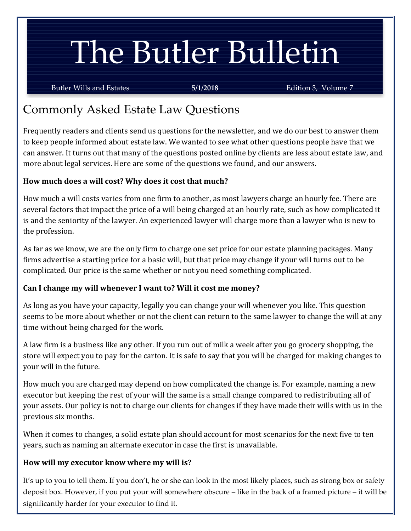# The Butler Bulletin

Butler Wills and Estates **5/1/2018** Edition 3, Volume 7

# Commonly Asked Estate Law Questions

Frequently readers and clients send us questions for the newsletter, and we do our best to answer them to keep people informed about estate law. We wanted to see what other questions people have that we can answer. It turns out that many of the questions posted online by clients are less about estate law, and more about legal services. Here are some of the questions we found, and our answers.

# **How much does a will cost? Why does it cost that much?**

How much a will costs varies from one firm to another, as most lawyers charge an hourly fee. There are several factors that impact the price of a will being charged at an hourly rate, such as how complicated it is and the seniority of the lawyer. An experienced lawyer will charge more than a lawyer who is new to the profession.

As far as we know, we are the only firm to charge one set price for our estate planning packages. Many firms advertise a starting price for a basic will, but that price may change if your will turns out to be complicated. Our price is the same whether or not you need something complicated.

## **Can I change my will whenever I want to? Will it cost me money?**

As long as you have your capacity, legally you can change your will whenever you like. This question seems to be more about whether or not the client can return to the same lawyer to change the will at any time without being charged for the work.

A law firm is a business like any other. If you run out of milk a week after you go grocery shopping, the store will expect you to pay for the carton. It is safe to say that you will be charged for making changes to your will in the future.

How much you are charged may depend on how complicated the change is. For example, naming a new executor but keeping the rest of your will the same is a small change compared to redistributing all of your assets. Our policy is not to charge our clients for changes if they have made their wills with us in the previous six months.

When it comes to changes, a solid estate plan should account for most scenarios for the next five to ten years, such as naming an alternate executor in case the first is unavailable.

## **How will my executor know where my will is?**

It's up to you to tell them. If you don't, he or she can look in the most likely places, such as strong box or safety deposit box. However, if you put your will somewhere obscure – like in the back of a framed picture – it will be significantly harder for your executor to find it.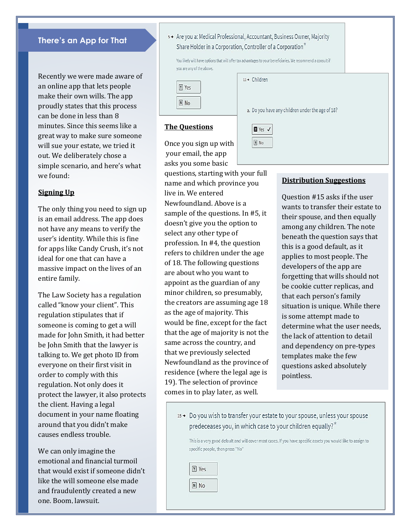#### **There's an App for That**

Recently we were made aware of an online app that lets people make their own wills. The app proudly states that this process can be done in less than 8 minutes. Since this seems like a great way to make sure someone will sue your estate, we tried it out. We deliberately chose a simple scenario, and here's what we found:

#### **Signing Up**

The only thing you need to sign up is an email address. The app does not have any means to verify the user's identity. While this is fine for apps like Candy Crush, it's not ideal for one that can have a massive impact on the lives of an entire family.

The Law Society has a regulation called "know your client". This regulation stipulates that if someone is coming to get a will made for John Smith, it had better be John Smith that the lawyer is talking to. We get photo ID from everyone on their first visit in order to comply with this regulation. Not only does it protect the lawyer, it also protects the client. Having a legal document in your name floating around that you didn't make causes endless trouble.

We can only imagine the emotional and financial turmoil that would exist if someone didn't like the will someone else made and fraudulently created a new one. Boom, lawsuit.

| s → Are you a: Medical Professional, Accountant, Business Owner, Majority |
|---------------------------------------------------------------------------|
| Share Holder in a Corporation, Controller of a Corporation <sup>*</sup>   |

You likely will have options that will offer tax advantages to your beneficiaries. We recommend a consult if you are any of the above.

11→ Children

 $Y$ es  $\checkmark$  $N$  No

| Yes       |  |
|-----------|--|
| <b>No</b> |  |

a. Do you have any children under the age of 18?

#### **The Questions**

Once you sign up with your email, the app asks you some basic

questions, starting with your full name and which province you live in. We entered Newfoundland. Above is a sample of the questions. In #5, it doesn't give you the option to select any other type of profession. In #4, the question refers to children under the age of 18. The following questions are about who you want to appoint as the guardian of any minor children, so presumably, the creators are assuming age 18 as the age of majority. This would be fine, except for the fact that the age of majority is not the same across the country, and that we previously selected Newfoundland as the province of residence (where the legal age is 19). The selection of province comes in to play later, as well.

#### **Distribution Suggestions**

Question #15 asks if the user wants to transfer their estate to their spouse, and then equally among any children. The note beneath the question says that this is a good default, as it applies to most people. The developers of the app are forgetting that wills should not be cookie cutter replicas, and that each person's family situation is unique. While there is some attempt made to determine what the user needs, the lack of attention to detail and dependency on pre-types templates make the few questions asked absolutely pointless.

15→ Do you wish to transfer your estate to your spouse, unless your spouse predeceases you, in which case to your children equally? $\bar{x}$ 

This is a very good default and will cover most cases. If you have specific assets you would like to assign to specific people, then press "No"

| Yes   |  |
|-------|--|
| n) No |  |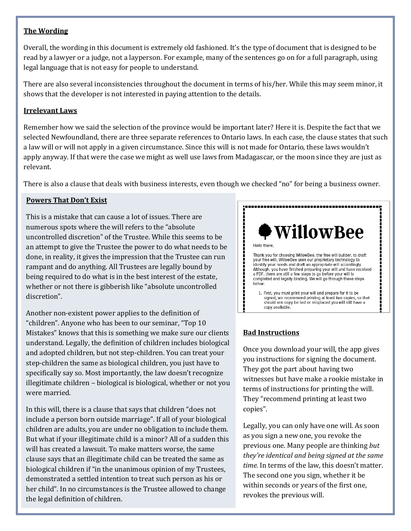# **Can I make wording a kitch will use the Wording** and the Wording and the Wording and the Wording and the Wording<br>The Wording

Overall, the wording in this document is extremely old fashioned. It's the type of document that is designed to be read by a lawyer or a judge, not a layperson. For example, many of the sentences go on for a full paragraph, using legal language that is not easy for people to understand.

There are also several inconsistencies throughout the document in terms of his/her. While this may seem minor, it shows that the developer is not interested in paying attention to the details.

#### **Irrelevant Laws**

Remember how we said the selection of the province would be important later? Here it is. Despite the fact that we selected Newfoundland, there are three separate references to Ontario laws. In each case, the clause states that such a law will or will not apply in a given circumstance. Since this will is not made for Ontario, these laws wouldn't apply anyway. If that were the case we might as well use laws from Madagascar, or the moon since they are just as relevant.

There is also a clause that deals with business interests, even though we checked "no" for being a business owner.

#### **Powers That Don't Exist**

This is a mistake that can cause a lot of issues. There are numerous spots where the will refers to the "absolute uncontrolled discretion" of the Trustee. While this seems to be an attempt to give the Trustee the power to do what needs to be done, in reality, it gives the impression that the Trustee can run rampant and do anything. All Trustees are legally bound by being required to do what is in the best interest of the estate, whether or not there is gibberish like "absolute uncontrolled discretion".

Another non-existent power applies to the definition of "children". Anyone who has been to our seminar, "Top 10 Mistakes" knows that this is something we make sure our clients understand. Legally, the definition of children includes biological and adopted children, but not step-children. You can treat your step-children the same as biological children, you just have to specifically say so. Most importantly, the law doesn't recognize illegitimate children – biological is biological, whether or not you were married.

In this will, there is a clause that says that children "does not include a person born outside marriage". If all of your biological children are adults, you are under no obligation to include them. But what if your illegitimate child is a minor? All of a sudden this will has created a lawsuit. To make matters worse, the same clause says that an illegitimate child can be treated the same as biological children if "in the unanimous opinion of my Trustees, demonstrated a settled intention to treat such person as his or her child". In no circumstances is the Trustee allowed to change the legal definition of children.



#### **Bad Instructions**

Once you download your will, the app gives you instructions for signing the document. They got the part about having two witnesses but have make a rookie mistake in terms of instructions for printing the will. They "recommend printing at least two copies".

Legally, you can only have one will. As soon as you sign a new one, you revoke the previous one. Many people are thinking *but they're identical and being signed at the same time.* In terms of the law, this doesn't matter. The second one you sign, whether it be within seconds or years of the first one, revokes the previous will.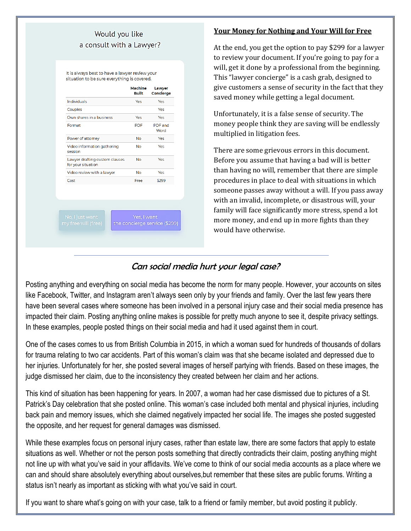### Would vou like a consult with a Lawyer?

It is always best to have a lawyer review your situation to be sure everything is covered.

|                                                      | Machine<br>Built | Lawver<br>Concierge |
|------------------------------------------------------|------------------|---------------------|
| Individuals                                          | <b>Yes</b>       | Yes                 |
| Couples                                              |                  | Yes                 |
| Own shares in a business                             | Yes              | <b>Yes</b>          |
| Format                                               | <b>PDF</b>       | PDF and<br>Word     |
| Power of attorney                                    | No               | <b>Yes</b>          |
| Video information gathering<br>session               | No               | Yes                 |
| Lawyer drafting custom clauses<br>for your situation | No               | <b>Yes</b>          |
| Video review with a lawyer                           | No               | Yes                 |
| Cost                                                 | Free             | \$299               |
|                                                      |                  |                     |

#### **Your Money for Nothing and Your Will for Free**

At the end, you get the option to pay \$299 for a lawyer to review your document. If you're going to pay for a will, get it done by a professional from the beginning. This "lawyer concierge" is a cash grab, designed to give customers a sense of security in the fact that they saved money while getting a legal document.

Unfortunately, it is a false sense of security. The money people think they are saving will be endlessly multiplied in litigation fees.

There are some grievous errors in this document. Before you assume that having a bad will is better than having no will, remember that there are simple procedures in place to deal with situations in which someone passes away without a will. If you pass away with an invalid, incomplete, or disastrous will, your family will face significantly more stress, spend a lot more money, and end up in more fights than they would have otherwise.

# Can social media hurt your legal case?

Posting anything and everything on social media has become the norm for many people. However, your accounts on sites like Facebook, Twitter, and Instagram aren't always seen only by your friends and family. Over the last few years there have been several cases where someone has been involved in a personal injury case and their social media presence has impacted their claim. Posting anything online makes is possible for pretty much anyone to see it, despite privacy settings. In these examples, people posted things on their social media and had it used against them in court.

One of the cases comes to us from British Columbia in 2015, in which a woman sued for hundreds of thousands of dollars for trauma relating to two car accidents. Part of this woman's claim was that she became isolated and depressed due to her injuries. Unfortunately for her, she posted several images of herself partying with friends. Based on these images, the judge dismissed her claim, due to the inconsistency they created between her claim and her actions.

This kind of situation has been happening for years. In 2007, a woman had her case dismissed due to pictures of a St. Patrick's Day celebration that she posted online. This woman's case included both mental and physical injuries, including back pain and memory issues, which she claimed negatively impacted her social life. The images she posted suggested the opposite, and her request for general damages was dismissed.

While these examples focus on personal injury cases, rather than estate law, there are some factors that apply to estate situations as well. Whether or not the person posts something that directly contradicts their claim, posting anything might not line up with what you've said in your affidavits. We've come to think of our social media accounts as a place where we can and should share absolutely everything about ourselves,but remember that these sites are public forums. Writing a status isn't nearly as important as sticking with what you've said in court.

If you want to share what's going on with your case, talk to a friend or family member, but avoid posting it publicly.